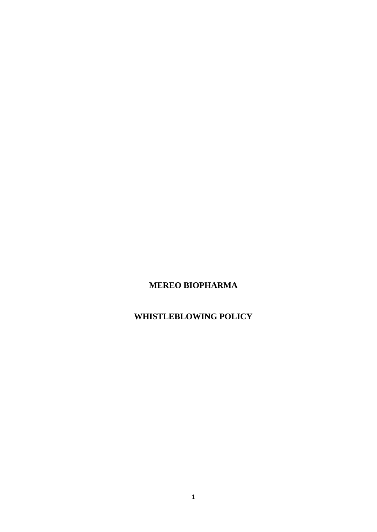# **MEREO BIOPHARMA**

# **WHISTLEBLOWING POLICY**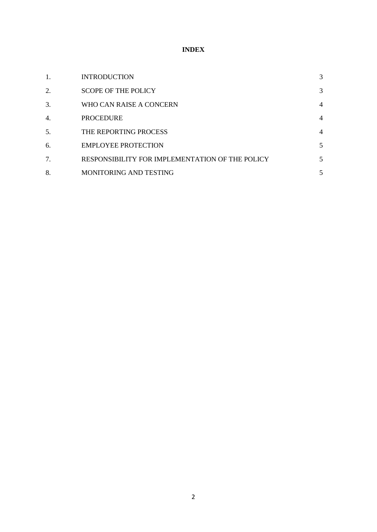# **INDEX**

| 1. | <b>INTRODUCTION</b>                             | 3              |
|----|-------------------------------------------------|----------------|
| 2. | <b>SCOPE OF THE POLICY</b>                      | 3              |
| 3. | WHO CAN RAISE A CONCERN                         | $\overline{4}$ |
| 4. | <b>PROCEDURE</b>                                | $\overline{4}$ |
| 5. | THE REPORTING PROCESS                           | $\overline{4}$ |
| 6. | <b>EMPLOYEE PROTECTION</b>                      | 5              |
| 7. | RESPONSIBILITY FOR IMPLEMENTATION OF THE POLICY | 5              |
| 8. | MONITORING AND TESTING                          | 5              |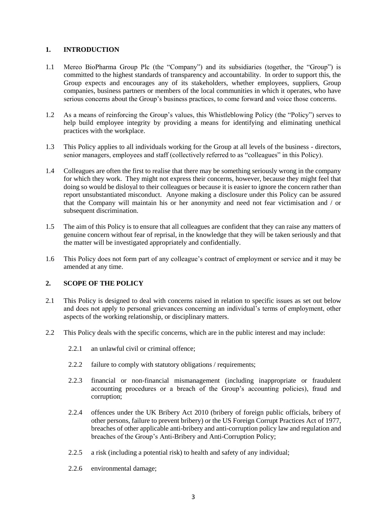# **1. INTRODUCTION**

- 1.1 Mereo BioPharma Group Plc (the "Company") and its subsidiaries (together, the "Group") is committed to the highest standards of transparency and accountability. In order to support this, the Group expects and encourages any of its stakeholders, whether employees, suppliers, Group companies, business partners or members of the local communities in which it operates, who have serious concerns about the Group's business practices, to come forward and voice those concerns.
- 1.2 As a means of reinforcing the Group's values, this Whistleblowing Policy (the "Policy") serves to help build employee integrity by providing a means for identifying and eliminating unethical practices with the workplace.
- 1.3 This Policy applies to all individuals working for the Group at all levels of the business directors, senior managers, employees and staff (collectively referred to as "colleagues" in this Policy).
- 1.4 Colleagues are often the first to realise that there may be something seriously wrong in the company for which they work. They might not express their concerns, however, because they might feel that doing so would be disloyal to their colleagues or because it is easier to ignore the concern rather than report unsubstantiated misconduct. Anyone making a disclosure under this Policy can be assured that the Company will maintain his or her anonymity and need not fear victimisation and / or subsequent discrimination.
- 1.5 The aim of this Policy is to ensure that all colleagues are confident that they can raise any matters of genuine concern without fear of reprisal, in the knowledge that they will be taken seriously and that the matter will be investigated appropriately and confidentially.
- 1.6 This Policy does not form part of any colleague's contract of employment or service and it may be amended at any time.

# **2. SCOPE OF THE POLICY**

- 2.1 This Policy is designed to deal with concerns raised in relation to specific issues as set out below and does not apply to personal grievances concerning an individual's terms of employment, other aspects of the working relationship, or disciplinary matters.
- 2.2 This Policy deals with the specific concerns, which are in the public interest and may include:
	- 2.2.1 an unlawful civil or criminal offence;
	- 2.2.2 failure to comply with statutory obligations / requirements;
	- 2.2.3 financial or non-financial mismanagement (including inappropriate or fraudulent accounting procedures or a breach of the Group's accounting policies), fraud and corruption;
	- 2.2.4 offences under the UK Bribery Act 2010 (bribery of foreign public officials, bribery of other persons, failure to prevent bribery) or the US Foreign Corrupt Practices Act of 1977, breaches of other applicable anti-bribery and anti-corruption policy law and regulation and breaches of the Group's Anti-Bribery and Anti-Corruption Policy;
	- 2.2.5 a risk (including a potential risk) to health and safety of any individual;
	- 2.2.6 environmental damage;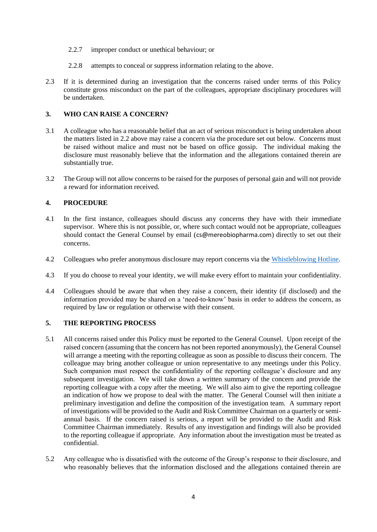- 2.2.7 improper conduct or unethical behaviour; or
- 2.2.8 attempts to conceal or suppress information relating to the above.
- 2.3 If it is determined during an investigation that the concerns raised under terms of this Policy constitute gross misconduct on the part of the colleagues, appropriate disciplinary procedures will be undertaken.

### **3. WHO CAN RAISE A CONCERN?**

- 3.1 A colleague who has a reasonable belief that an act of serious misconduct is being undertaken about the matters listed in 2.2 above may raise a concern via the procedure set out below. Concerns must be raised without malice and must not be based on office gossip. The individual making the disclosure must reasonably believe that the information and the allegations contained therein are substantially true.
- 3.2 The Group will not allow concerns to be raised for the purposes of personal gain and will not provide a reward for information received.

#### **4. PROCEDURE**

- 4.1 In the first instance, colleagues should discuss any concerns they have with their immediate supervisor. Where this is not possible, or, where such contact would not be appropriate, colleagues should contact the General Counsel by email ([cs@mereobiopharma.com](mailto:cs@mereobiopharma.com)) directly to set out their concerns.
- 4.2 Colleagues who prefer anonymous disclosure may report concerns via the [Whistleblowing Hotline.](https://www.whistleblowerservices.com/mreo/)
- 4.3 If you do choose to reveal your identity, we will make every effort to maintain your confidentiality.
- 4.4 Colleagues should be aware that when they raise a concern, their identity (if disclosed) and the information provided may be shared on a 'need-to-know' basis in order to address the concern, as required by law or regulation or otherwise with their consent.

# **5. THE REPORTING PROCESS**

- 5.1 All concerns raised under this Policy must be reported to the General Counsel. Upon receipt of the raised concern (assuming that the concern has not been reported anonymously), the General Counsel will arrange a meeting with the reporting colleague as soon as possible to discuss their concern. The colleague may bring another colleague or union representative to any meetings under this Policy. Such companion must respect the confidentiality of the reporting colleague's disclosure and any subsequent investigation. We will take down a written summary of the concern and provide the reporting colleague with a copy after the meeting. We will also aim to give the reporting colleague an indication of how we propose to deal with the matter. The General Counsel will then initiate a preliminary investigation and define the composition of the investigation team. A summary report of investigations will be provided to the Audit and Risk Committee Chairman on a quarterly or semiannual basis. If the concern raised is serious, a report will be provided to the Audit and Risk Committee Chairman immediately. Results of any investigation and findings will also be provided to the reporting colleague if appropriate. Any information about the investigation must be treated as confidential.
- 5.2 Any colleague who is dissatisfied with the outcome of the Group's response to their disclosure, and who reasonably believes that the information disclosed and the allegations contained therein are